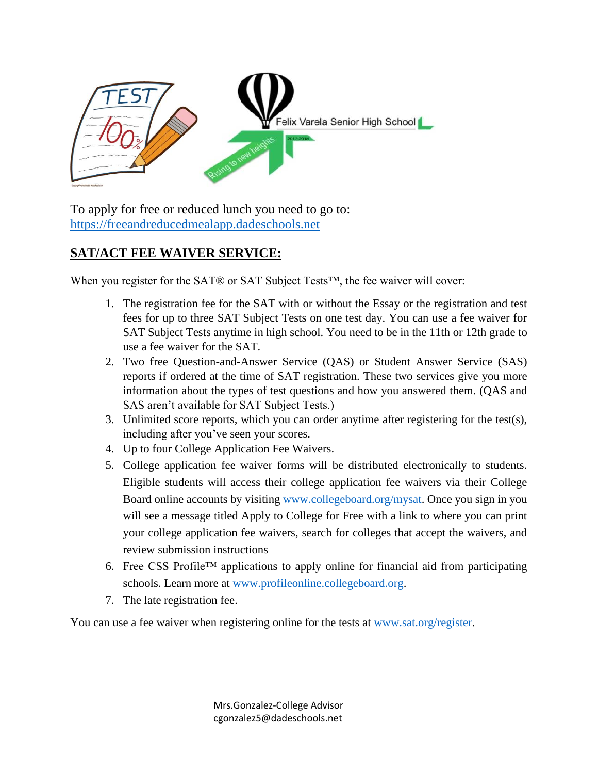

To apply for free or reduced lunch you need to go to: [https://freeandreducedmealapp.dadeschools.net](https://freeandreducedmealapp.dadeschools.net/)

## **SAT/ACT FEE WAIVER SERVICE:**

When you register for the SAT® or SAT Subject Tests™, the fee waiver will cover:

- 1. The registration fee for the SAT with or without the Essay or the registration and test fees for up to three SAT Subject Tests on one test day. You can use a fee waiver for SAT Subject Tests anytime in high school. You need to be in the 11th or 12th grade to use a fee waiver for the SAT.
- 2. Two free Question-and-Answer Service (QAS) or Student Answer Service (SAS) reports if ordered at the time of SAT registration. These two services give you more information about the types of test questions and how you answered them. (QAS and SAS aren't available for SAT Subject Tests.)
- 3. Unlimited score reports, which you can order anytime after registering for the test(s), including after you've seen your scores.
- 4. Up to four College Application Fee Waivers.
- 5. College application fee waiver forms will be distributed electronically to students. Eligible students will access their college application fee waivers via their College Board online accounts by visiting [www.collegeboard.org/mysat.](http://www.collegeboard.org/mysat) Once you sign in you will see a message titled Apply to College for Free with a link to where you can print your college application fee waivers, search for colleges that accept the waivers, and review submission instructions
- 6. Free CSS Profile™ applications to apply online for financial aid from participating schools. Learn more at [www.profileonline.collegeboard.org.](http://www.profileonline.collegeboard.org/)
- 7. The late registration fee.

You can use a fee waiver when registering online for the tests at [www.sat.org/register.](http://www.sat.org/register)